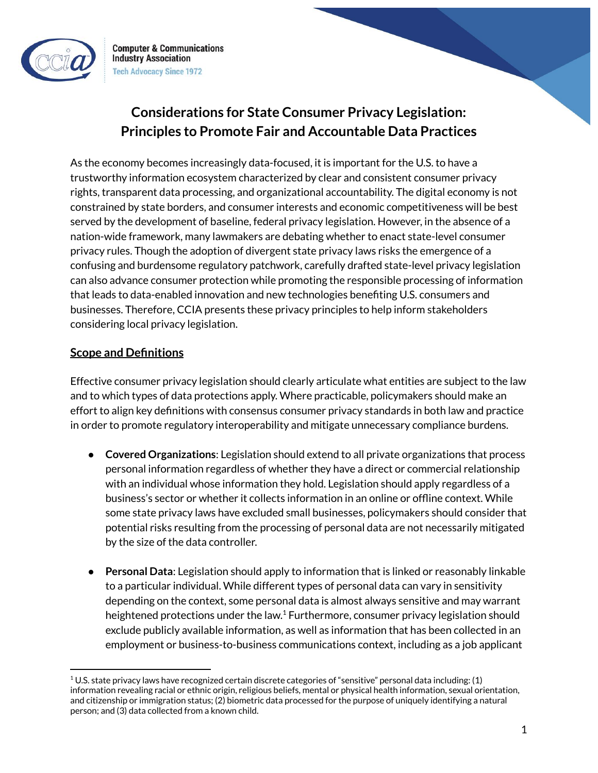

**Computer & Communications Industry Association Tech Advocacy Since 1972** 

# **Considerations for State Consumer Privacy Legislation: Principles to Promote Fair and Accountable Data Practices**

As the economy becomes increasingly data-focused, it is important for the U.S. to have a trustworthy information ecosystem characterized by clear and consistent consumer privacy rights, transparent data processing, and organizational accountability. The digital economy is not constrained by state borders, and consumer interests and economic competitiveness will be best served by the development of baseline, federal privacy legislation. However, in the absence of a nation-wide framework, many lawmakers are debating whether to enact state-level consumer privacy rules. Though the adoption of divergent state privacy laws risks the emergence of a confusing and burdensome regulatory patchwork, carefully drafted state-level privacy legislation can also advance consumer protection while promoting the responsible processing of information that leads to data-enabled innovation and new technologies benefiting U.S. consumers and businesses. Therefore, CCIA presents these privacy principles to help inform stakeholders considering local privacy legislation.

### **Scope and Definitions**

Effective consumer privacy legislation should clearly articulate what entities are subject to the law and to which types of data protections apply. Where practicable, policymakers should make an effort to align key definitions with consensus consumer privacy standards in both law and practice in order to promote regulatory interoperability and mitigate unnecessary compliance burdens.

- **Covered Organizations**: Legislation should extend to all private organizations that process personal information regardless of whether they have a direct or commercial relationship with an individual whose information they hold. Legislation should apply regardless of a business's sector or whether it collects information in an online or offline context. While some state privacy laws have excluded small businesses, policymakers should consider that potential risks resulting from the processing of personal data are not necessarily mitigated by the size of the data controller.
- **Personal Data**: Legislation should apply to information that is linked or reasonably linkable to a particular individual. While different types of personal data can vary in sensitivity depending on the context, some personal data is almost always sensitive and may warrant heightened protections under the law.<sup>1</sup> Furthermore, consumer privacy legislation should exclude publicly available information, as well as information that has been collected in an employment or business-to-business communications context, including as a job applicant

 $1 U.S.$  state privacy laws have recognized certain discrete categories of "sensitive" personal data including: (1) information revealing racial or ethnic origin, religious beliefs, mental or physical health information, sexual orientation, and citizenship or immigration status; (2) biometric data processed for the purpose of uniquely identifying a natural person; and (3) data collected from a known child.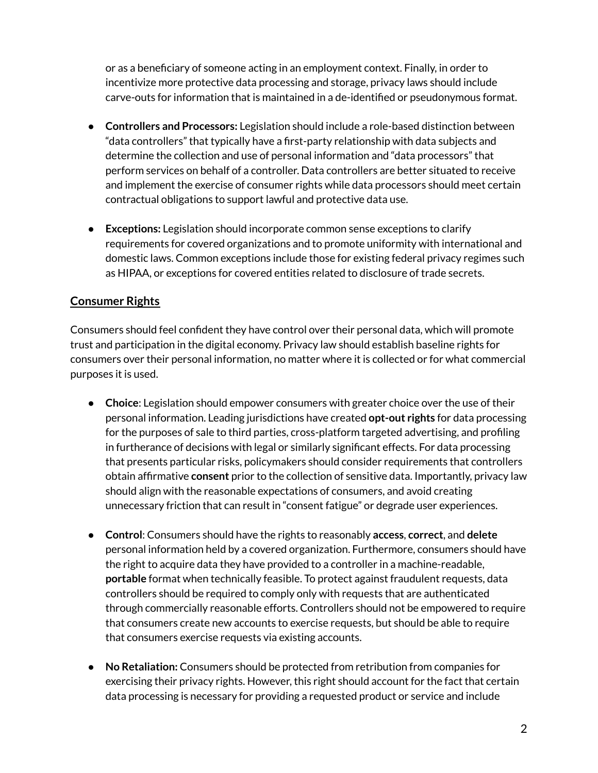or as a beneficiary of someone acting in an employment context. Finally, in order to incentivize more protective data processing and storage, privacy laws should include carve-outs for information that is maintained in a de-identified or pseudonymous format.

- **Controllers and Processors:** Legislation should include a role-based distinction between "data controllers" that typically have a first-party relationship with data subjects and determine the collection and use of personal information and "data processors" that perform services on behalf of a controller. Data controllers are better situated to receive and implement the exercise of consumer rights while data processors should meet certain contractual obligations to support lawful and protective data use.
- **Exceptions:** Legislation should incorporate common sense exceptions to clarify requirements for covered organizations and to promote uniformity with international and domestic laws. Common exceptions include those for existing federal privacy regimes such as HIPAA, or exceptions for covered entities related to disclosure of trade secrets.

# **Consumer Rights**

Consumers should feel confident they have control over their personal data, which will promote trust and participation in the digital economy. Privacy law should establish baseline rights for consumers over their personal information, no matter where it is collected or for what commercial purposes it is used.

- **Choice**: Legislation should empower consumers with greater choice over the use of their personal information. Leading jurisdictions have created **opt-out rights** for data processing for the purposes of sale to third parties, cross-platform targeted advertising, and profiling in furtherance of decisions with legal or similarly significant effects. For data processing that presents particular risks, policymakers should consider requirements that controllers obtain affirmative **consent** prior to the collection of sensitive data. Importantly, privacy law should align with the reasonable expectations of consumers, and avoid creating unnecessary friction that can result in "consent fatigue" or degrade user experiences.
- **Control**: Consumers should have the rights to reasonably **access**, **correct**, and **delete** personal information held by a covered organization. Furthermore, consumers should have the right to acquire data they have provided to a controller in a machine-readable, **portable** format when technically feasible. To protect against fraudulent requests, data controllers should be required to comply only with requests that are authenticated through commercially reasonable efforts. Controllers should not be empowered to require that consumers create new accounts to exercise requests, but should be able to require that consumers exercise requests via existing accounts.
- **No Retaliation:** Consumers should be protected from retribution from companies for exercising their privacy rights. However, this right should account for the fact that certain data processing is necessary for providing a requested product or service and include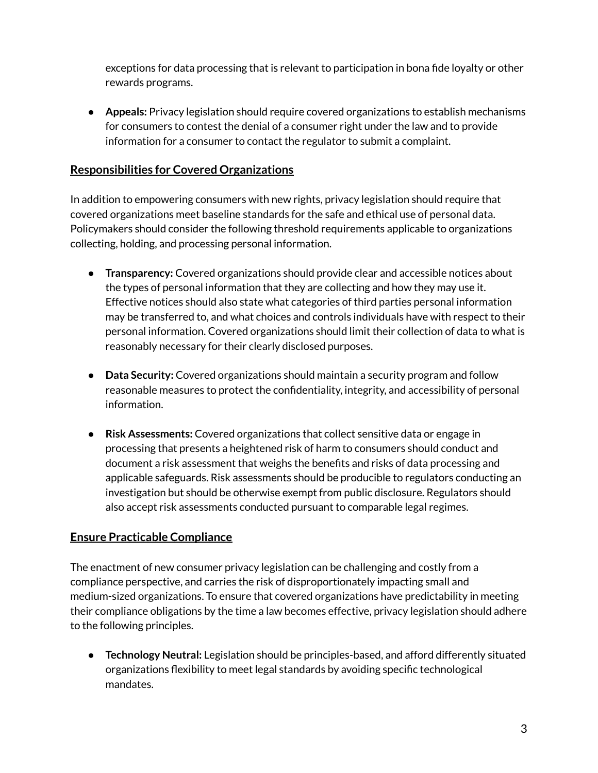exceptions for data processing that is relevant to participation in bona fide loyalty or other rewards programs.

● **Appeals:** Privacy legislation should require covered organizations to establish mechanisms for consumers to contest the denial of a consumer right under the law and to provide information for a consumer to contact the regulator to submit a complaint.

### **Responsibilities for Covered Organizations**

In addition to empowering consumers with new rights, privacy legislation should require that covered organizations meet baseline standards for the safe and ethical use of personal data. Policymakers should consider the following threshold requirements applicable to organizations collecting, holding, and processing personal information.

- **Transparency:** Covered organizations should provide clear and accessible notices about the types of personal information that they are collecting and how they may use it. Effective notices should also state what categories of third parties personal information may be transferred to, and what choices and controls individuals have with respect to their personal information. Covered organizations should limit their collection of data to what is reasonably necessary for their clearly disclosed purposes.
- **Data Security:** Covered organizations should maintain a security program and follow reasonable measures to protect the confidentiality, integrity, and accessibility of personal information.
- **Risk Assessments:** Covered organizations that collect sensitive data or engage in processing that presents a heightened risk of harm to consumers should conduct and document a risk assessment that weighs the benefits and risks of data processing and applicable safeguards. Risk assessments should be producible to regulators conducting an investigation but should be otherwise exempt from public disclosure. Regulators should also accept risk assessments conducted pursuant to comparable legal regimes.

### **Ensure Practicable Compliance**

The enactment of new consumer privacy legislation can be challenging and costly from a compliance perspective, and carries the risk of disproportionately impacting small and medium-sized organizations. To ensure that covered organizations have predictability in meeting their compliance obligations by the time a law becomes effective, privacy legislation should adhere to the following principles.

● **Technology Neutral:** Legislation should be principles-based, and afford differently situated organizations flexibility to meet legal standards by avoiding specific technological mandates.